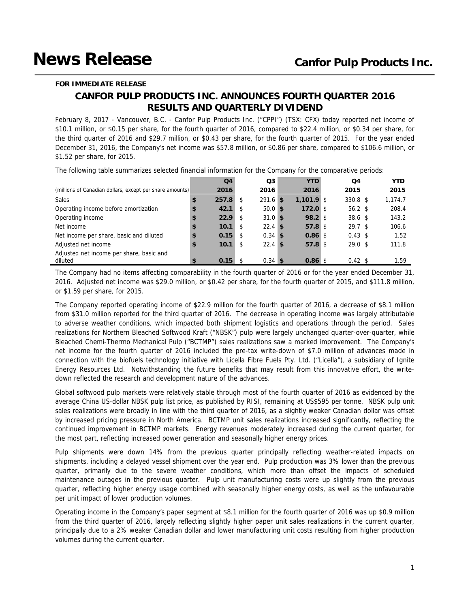### **FOR IMMEDIATE RELEASE**

# **CANFOR PULP PRODUCTS INC. ANNOUNCES FOURTH QUARTER 2016 RESULTS AND QUARTERLY DIVIDEND**

February 8, 2017 - Vancouver, B.C. - Canfor Pulp Products Inc. ("CPPI") (TSX: CFX) today reported net income of \$10.1 million, or \$0.15 per share, for the fourth quarter of 2016, compared to \$22.4 million, or \$0.34 per share, for the third quarter of 2016 and \$29.7 million, or \$0.43 per share, for the fourth quarter of 2015. For the year ended December 31, 2016, the Company's net income was \$57.8 million, or \$0.86 per share, compared to \$106.6 million, or \$1.52 per share, for 2015.

|                                                          | Q4          |    | Q <sub>3</sub> | <b>YTD</b>   | Q4                  | <b>YTD</b> |
|----------------------------------------------------------|-------------|----|----------------|--------------|---------------------|------------|
| (millions of Canadian dollars, except per share amounts) | 2016        |    | 2016           | 2016         | 2015                | 2015       |
| <b>Sales</b>                                             | \$<br>257.8 | S. | $291.6$ \$     | $1,101.9$ \$ | $330.8 \text{ }$ \$ | 1,174.7    |
| Operating income before amortization                     | \$<br>42.1  | S  | $50.0$ \$      | $172.0$ \$   | $56.2 \text{ }$     | 208.4      |
| Operating income                                         | \$<br>22.9  | S. | $31.0$ \$      | $98.2$ \$    | $38.6 \text{ }$ \$  | 143.2      |
| Net income                                               | \$<br>10.1  |    | $22.4$ \$      | $57.8$ \$    | $29.7$ \$           | 106.6      |
| Net income per share, basic and diluted                  | \$<br>0.15  | S. | $0.34$ \$      | $0.86$ \$    | $0.43 \text{ } $$   | 1.52       |
| Adjusted net income                                      | \$<br>10.1  | S  | $22.4$ \$      | $57.8$ \$    | $29.0 \text{ }$ \$  | 111.8      |
| Adjusted net income per share, basic and<br>diluted      | 0.15        |    | $0.34$ \$      | $0.86$ \$    | $0.42 \text{ } $$   | 1.59       |

The following table summarizes selected financial information for the Company for the comparative periods:

The Company had no items affecting comparability in the fourth quarter of 2016 or for the year ended December 31, 2016. Adjusted net income was \$29.0 million, or \$0.42 per share, for the fourth quarter of 2015, and \$111.8 million, or \$1.59 per share, for 2015.

The Company reported operating income of \$22.9 million for the fourth quarter of 2016, a decrease of \$8.1 million from \$31.0 million reported for the third quarter of 2016. The decrease in operating income was largely attributable to adverse weather conditions, which impacted both shipment logistics and operations through the period. Sales realizations for Northern Bleached Softwood Kraft ("NBSK") pulp were largely unchanged quarter-over-quarter, while Bleached Chemi-Thermo Mechanical Pulp ("BCTMP") sales realizations saw a marked improvement. The Company's net income for the fourth quarter of 2016 included the pre-tax write-down of \$7.0 million of advances made in connection with the biofuels technology initiative with Licella Fibre Fuels Pty. Ltd. ("Licella"), a subsidiary of Ignite Energy Resources Ltd. Notwithstanding the future benefits that may result from this innovative effort, the writedown reflected the research and development nature of the advances.

Global softwood pulp markets were relatively stable through most of the fourth quarter of 2016 as evidenced by the average China US-dollar NBSK pulp list price, as published by RISI, remaining at US\$595 per tonne. NBSK pulp unit sales realizations were broadly in line with the third quarter of 2016, as a slightly weaker Canadian dollar was offset by increased pricing pressure in North America. BCTMP unit sales realizations increased significantly, reflecting the continued improvement in BCTMP markets. Energy revenues moderately increased during the current quarter, for the most part, reflecting increased power generation and seasonally higher energy prices.

Pulp shipments were down 14% from the previous quarter principally reflecting weather-related impacts on shipments, including a delayed vessel shipment over the year end. Pulp production was 3% lower than the previous quarter, primarily due to the severe weather conditions, which more than offset the impacts of scheduled maintenance outages in the previous quarter. Pulp unit manufacturing costs were up slightly from the previous quarter, reflecting higher energy usage combined with seasonally higher energy costs, as well as the unfavourable per unit impact of lower production volumes.

Operating income in the Company's paper segment at \$8.1 million for the fourth quarter of 2016 was up \$0.9 million from the third quarter of 2016, largely reflecting slightly higher paper unit sales realizations in the current quarter, principally due to a 2% weaker Canadian dollar and lower manufacturing unit costs resulting from higher production volumes during the current quarter.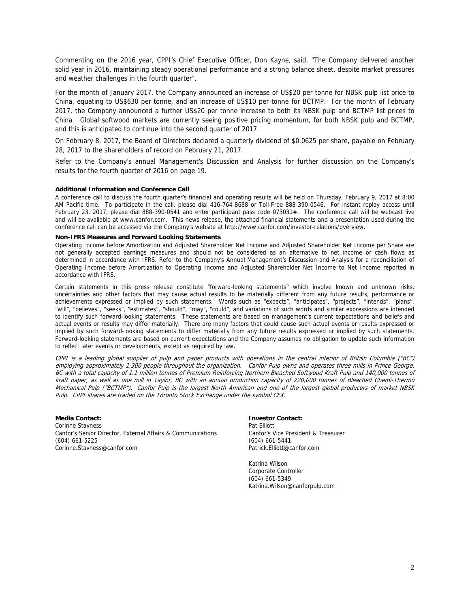Commenting on the 2016 year, CPPI's Chief Executive Officer, Don Kayne, said, "The Company delivered another solid year in 2016, maintaining steady operational performance and a strong balance sheet, despite market pressures and weather challenges in the fourth quarter".

For the month of January 2017, the Company announced an increase of US\$20 per tonne for NBSK pulp list price to China, equating to US\$630 per tonne, and an increase of US\$10 per tonne for BCTMP. For the month of February 2017, the Company announced a further US\$20 per tonne increase to both its NBSK pulp and BCTMP list prices to China. Global softwood markets are currently seeing positive pricing momentum, for both NBSK pulp and BCTMP, and this is anticipated to continue into the second quarter of 2017.

On February 8, 2017, the Board of Directors declared a quarterly dividend of \$0.0625 per share, payable on February 28, 2017 to the shareholders of record on February 21, 2017.

Refer to the Company's annual Management's Discussion and Analysis for further discussion on the Company's results for the fourth quarter of 2016 on page 19.

#### **Additional Information and Conference Call**

A conference call to discuss the fourth quarter's financial and operating results will be held on Thursday, February 9, 2017 at 8:00 AM Pacific time. To participate in the call, please dial 416-764-8688 or Toll-Free 888-390-0546. For instant replay access until February 23, 2017, please dial 888-390-0541 and enter participant pass code 073031#. The conference call will be webcast live and will be available at www.canfor.com. This news release, the attached financial statements and a presentation used during the conference call can be accessed via the Company's website at http://www.canfor.com/investor-relations/overview.

#### **Non-IFRS Measures and Forward Looking Statements**

Operating Income before Amortization and Adjusted Shareholder Net Income and Adjusted Shareholder Net Income per Share are not generally accepted earnings measures and should not be considered as an alternative to net income or cash flows as determined in accordance with IFRS. Refer to the Company's Annual Management's Discussion and Analysis for a reconciliation of Operating Income before Amortization to Operating Income and Adjusted Shareholder Net Income to Net Income reported in accordance with IFRS.

Certain statements in this press release constitute "forward-looking statements" which involve known and unknown risks, uncertainties and other factors that may cause actual results to be materially different from any future results, performance or achievements expressed or implied by such statements. Words such as "expects", "anticipates", "projects", "intends", "plans", "will", "believes", "seeks", "estimates", "should", "may", "could", and variations of such words and similar expressions are intended to identify such forward-looking statements. These statements are based on management's current expectations and beliefs and actual events or results may differ materially. There are many factors that could cause such actual events or results expressed or implied by such forward-looking statements to differ materially from any future results expressed or implied by such statements. Forward-looking statements are based on current expectations and the Company assumes no obligation to update such information to reflect later events or developments, except as required by law.

CPPI is a leading global supplier of pulp and paper products with operations in the central interior of British Columbia ("BC") employing approximately 1,300 people throughout the organization. Canfor Pulp owns and operates three mills in Prince George, BC with a total capacity of 1.1 million tonnes of Premium Reinforcing Northern Bleached Softwood Kraft Pulp and 140,000 tonnes of kraft paper, as well as one mill in Taylor, BC with an annual production capacity of 220,000 tonnes of Bleached Chemi-Thermo Mechanical Pulp ("BCTMP"). Canfor Pulp is the largest North American and one of the largest global producers of market NBSK Pulp. CPPI shares are traded on the Toronto Stock Exchange under the symbol CFX.

**Media Contact: Investor Contact: Investor Contact: Corinne Stavess** Corinne Stavness Canfor's Senior Director, External Affairs & Communications Canfor's Vice President & Treasurer (604) 661-5225 (604) 661-5441 Corinne.Stavness@canfor.com Patrick.Elliott@canfor.com

 Katrina Wilson Corporate Controller (604) 661-5349 Katrina.Wilson@canforpulp.com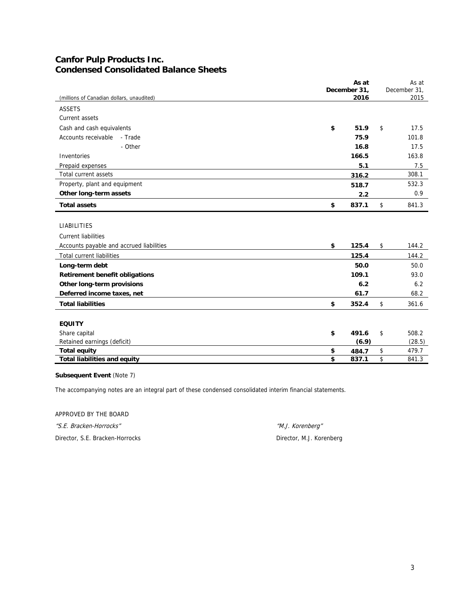## **Canfor Pulp Products Inc. Condensed Consolidated Balance Sheets**

|                                           | As at<br>December 31, |       |    |                      |  |
|-------------------------------------------|-----------------------|-------|----|----------------------|--|
| (millions of Canadian dollars, unaudited) |                       | 2016  |    | December 31,<br>2015 |  |
|                                           |                       |       |    |                      |  |
| <b>ASSETS</b>                             |                       |       |    |                      |  |
| Current assets                            |                       |       |    |                      |  |
| Cash and cash equivalents                 | \$                    | 51.9  | \$ | 17.5                 |  |
| Accounts receivable<br>- Trade            |                       | 75.9  |    | 101.8                |  |
| - Other                                   |                       | 16.8  |    | 17.5                 |  |
| Inventories                               |                       | 166.5 |    | 163.8                |  |
| Prepaid expenses                          |                       | 5.1   |    | 7.5                  |  |
| <b>Total current assets</b>               |                       | 316.2 |    | 308.1                |  |
| Property, plant and equipment             |                       | 518.7 |    | 532.3                |  |
| Other long-term assets                    |                       | 2.2   |    | 0.9                  |  |
| <b>Total assets</b>                       | \$                    | 837.1 | \$ | 841.3                |  |
|                                           |                       |       |    |                      |  |
| <b>LIABILITIES</b>                        |                       |       |    |                      |  |
| <b>Current liabilities</b>                |                       |       |    |                      |  |
| Accounts payable and accrued liabilities  | \$                    | 125.4 | \$ | 144.2                |  |
| <b>Total current liabilities</b>          |                       | 125.4 |    | 144.2                |  |
| Long-term debt                            |                       | 50.0  |    | 50.0                 |  |
| <b>Retirement benefit obligations</b>     |                       | 109.1 |    | 93.0                 |  |
| Other long-term provisions                |                       | 6.2   |    | 6.2                  |  |
| Deferred income taxes, net                |                       | 61.7  |    | 68.2                 |  |
| <b>Total liabilities</b>                  | \$                    | 352.4 | \$ | 361.6                |  |
|                                           |                       |       |    |                      |  |
| <b>EQUITY</b>                             |                       |       |    |                      |  |
| Share capital                             | \$                    | 491.6 | \$ | 508.2                |  |
| Retained earnings (deficit)               |                       | (6.9) |    | (28.5)               |  |
| <b>Total equity</b>                       | \$                    | 484.7 | \$ | 479.7                |  |
| <b>Total liabilities and equity</b>       | \$                    | 837.1 | \$ | 841.3                |  |
|                                           |                       |       |    |                      |  |

### **Subsequent Event** (Note 7)

The accompanying notes are an integral part of these condensed consolidated interim financial statements.

APPROVED BY THE BOARD

"S.E. Bracken-Horrocks" "M.J. Korenberg"

Director, S.E. Bracken-Horrocks Director, M.J. Korenberg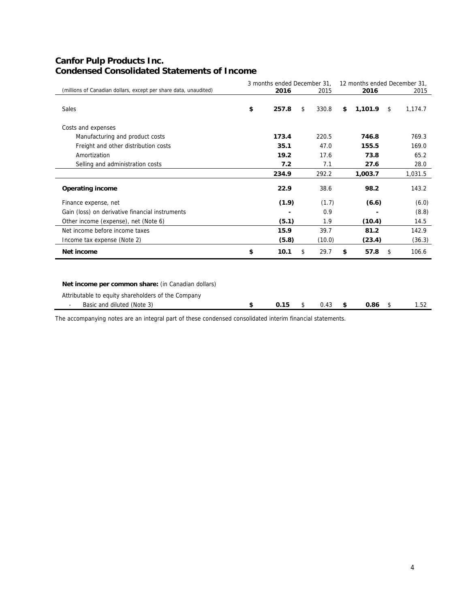## **Canfor Pulp Products Inc. Condensed Consolidated Statements of Income**

|                                                                  | 3 months ended December 31, |             | 12 months ended December 31, |         |    |         |  |  |
|------------------------------------------------------------------|-----------------------------|-------------|------------------------------|---------|----|---------|--|--|
| (millions of Canadian dollars, except per share data, unaudited) | 2016                        | 2015        |                              | 2016    |    | 2015    |  |  |
| <b>Sales</b>                                                     | \$<br>257.8                 | \$<br>330.8 | \$                           | 1,101.9 | \$ | 1,174.7 |  |  |
| Costs and expenses                                               |                             |             |                              |         |    |         |  |  |
| Manufacturing and product costs                                  | 173.4                       | 220.5       |                              | 746.8   |    | 769.3   |  |  |
| Freight and other distribution costs                             | 35.1                        | 47.0        |                              | 155.5   |    | 169.0   |  |  |
| Amortization                                                     | 19.2                        | 17.6        |                              | 73.8    |    | 65.2    |  |  |
| Selling and administration costs                                 | 7.2                         | 7.1         |                              | 27.6    |    | 28.0    |  |  |
|                                                                  | 234.9                       | 292.2       |                              | 1,003.7 |    | 1,031.5 |  |  |
| <b>Operating income</b>                                          | 22.9                        | 38.6        |                              | 98.2    |    | 143.2   |  |  |
| Finance expense, net                                             | (1.9)                       | (1.7)       |                              | (6.6)   |    | (6.0)   |  |  |
| Gain (loss) on derivative financial instruments                  |                             | 0.9         |                              |         |    | (8.8)   |  |  |
| Other income (expense), net (Note 6)                             | (5.1)                       | 1.9         |                              | (10.4)  |    | 14.5    |  |  |
| Net income before income taxes                                   | 15.9                        | 39.7        |                              | 81.2    |    | 142.9   |  |  |
| Income tax expense (Note 2)                                      | (5.8)                       | (10.0)      |                              | (23.4)  |    | (36.3)  |  |  |
| Net income                                                       | \$<br>10.1                  | \$<br>29.7  | \$                           | 57.8    | \$ | 106.6   |  |  |
|                                                                  |                             |             |                              |         |    |         |  |  |

**Net income per common share:** (in Canadian dollars)

| Attributable to equity shareholders of the Company |      |      |  |      |
|----------------------------------------------------|------|------|--|------|
| Basic and diluted (Note 3)                         | 0.15 | 0.43 |  | 1.52 |

The accompanying notes are an integral part of these condensed consolidated interim financial statements.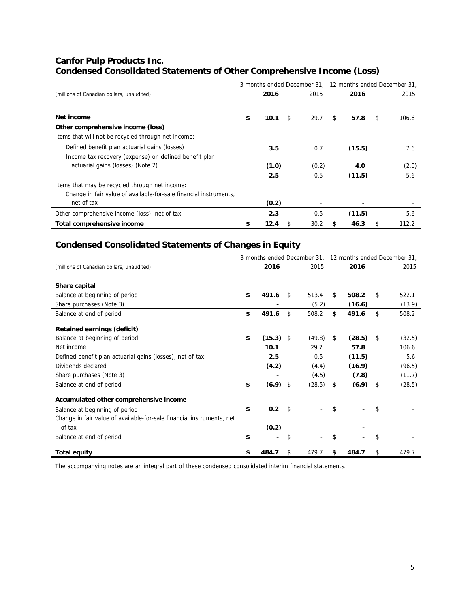## **Canfor Pulp Products Inc. Condensed Consolidated Statements of Other Comprehensive Income (Loss)**

|                                                                   |            |      |       |    | 3 months ended December 31, 12 months ended December 31, |    |       |
|-------------------------------------------------------------------|------------|------|-------|----|----------------------------------------------------------|----|-------|
| (millions of Canadian dollars, unaudited)                         | 2016       | 2015 |       |    | 2016                                                     |    | 2015  |
|                                                                   |            |      |       |    |                                                          |    |       |
| Net income                                                        | \$<br>10.1 | \$   | 29.7  | \$ | 57.8                                                     | \$ | 106.6 |
| Other comprehensive income (loss)                                 |            |      |       |    |                                                          |    |       |
| Items that will not be recycled through net income:               |            |      |       |    |                                                          |    |       |
| Defined benefit plan actuarial gains (losses)                     | 3.5        |      | 0.7   |    | (15.5)                                                   |    | 7.6   |
| Income tax recovery (expense) on defined benefit plan             |            |      |       |    |                                                          |    |       |
| actuarial gains (losses) (Note 2)                                 | (1.0)      |      | (0.2) |    | 4.0                                                      |    | (2.0) |
|                                                                   | 2.5        |      | 0.5   |    | (11.5)                                                   |    | 5.6   |
| Items that may be recycled through net income:                    |            |      |       |    |                                                          |    |       |
| Change in fair value of available-for-sale financial instruments, |            |      |       |    |                                                          |    |       |
| net of tax                                                        | (0.2)      |      | -     |    |                                                          |    |       |
| Other comprehensive income (loss), net of tax                     | 2.3        |      | 0.5   |    | (11.5)                                                   |    | 5.6   |
| Total comprehensive income                                        | \$<br>12.4 | \$   | 30.2  | S  | 46.3                                                     | \$ | 112.2 |

# **Condensed Consolidated Statements of Changes in Equity**

|                                                                       |    |             |     |        |    | 3 months ended December 31, 12 months ended December 31, |    |        |  |  |
|-----------------------------------------------------------------------|----|-------------|-----|--------|----|----------------------------------------------------------|----|--------|--|--|
| (millions of Canadian dollars, unaudited)                             |    | 2016        |     | 2015   |    | 2016                                                     |    | 2015   |  |  |
|                                                                       |    |             |     |        |    |                                                          |    |        |  |  |
| Share capital                                                         |    |             |     |        |    |                                                          |    |        |  |  |
| Balance at beginning of period                                        | \$ | 491.6       | \$  | 513.4  | \$ | 508.2                                                    | \$ | 522.1  |  |  |
| Share purchases (Note 3)                                              |    |             |     | (5.2)  |    | (16.6)                                                   |    | (13.9) |  |  |
| Balance at end of period                                              | \$ | 491.6       | \$  | 508.2  | \$ | 491.6                                                    | \$ | 508.2  |  |  |
| <b>Retained earnings (deficit)</b>                                    |    |             |     |        |    |                                                          |    |        |  |  |
| Balance at beginning of period                                        | \$ | $(15.3)$ \$ |     | (49.8) | \$ | (28.5)                                                   | S  | (32.5) |  |  |
| Net income                                                            |    | 10.1        |     | 29.7   |    | 57.8                                                     |    | 106.6  |  |  |
| Defined benefit plan actuarial gains (losses), net of tax             |    | 2.5         |     | 0.5    |    | (11.5)                                                   |    | 5.6    |  |  |
| Dividends declared                                                    |    | (4.2)       |     | (4.4)  |    | (16.9)                                                   |    | (96.5) |  |  |
| Share purchases (Note 3)                                              |    |             |     | (4.5)  |    | (7.8)                                                    |    | (11.7) |  |  |
| Balance at end of period                                              | \$ | (6.9)       | \$  | (28.5) | \$ | (6.9)                                                    | \$ | (28.5) |  |  |
| Accumulated other comprehensive income                                |    |             |     |        |    |                                                          |    |        |  |  |
| Balance at beginning of period                                        | \$ | 0.2         | -\$ |        | \$ |                                                          | \$ |        |  |  |
| Change in fair value of available-for-sale financial instruments, net |    |             |     |        |    |                                                          |    |        |  |  |
| of tax                                                                |    | (0.2)       |     |        |    |                                                          |    |        |  |  |
| Balance at end of period                                              | \$ |             | \$  |        | \$ |                                                          | \$ |        |  |  |
| <b>Total equity</b>                                                   | \$ | 484.7       | \$  | 479.7  | \$ | 484.7                                                    | \$ | 479.7  |  |  |

The accompanying notes are an integral part of these condensed consolidated interim financial statements.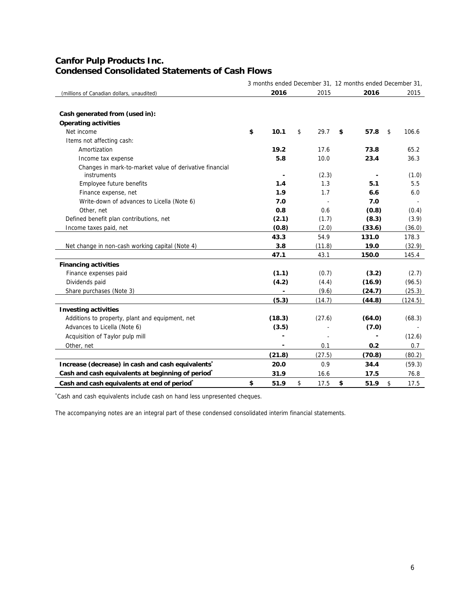|                                                                        |                |                          | 3 months ended December 31, 12 months ended December 31, |             |
|------------------------------------------------------------------------|----------------|--------------------------|----------------------------------------------------------|-------------|
| (millions of Canadian dollars, unaudited)                              | 2016           | 2015                     | 2016                                                     | 2015        |
|                                                                        |                |                          |                                                          |             |
| Cash generated from (used in):                                         |                |                          |                                                          |             |
| <b>Operating activities</b>                                            |                |                          |                                                          |             |
| Net income                                                             | \$<br>10.1     | \$<br>29.7               | \$<br>57.8                                               | \$<br>106.6 |
| Items not affecting cash:                                              |                |                          |                                                          |             |
| Amortization                                                           | 19.2           | 17.6                     | 73.8                                                     | 65.2        |
| Income tax expense                                                     | 5.8            | 10.0                     | 23.4                                                     | 36.3        |
| Changes in mark-to-market value of derivative financial<br>instruments | $\blacksquare$ | (2.3)                    | $\blacksquare$                                           | (1.0)       |
| Employee future benefits                                               | 1.4            | 1.3                      | 5.1                                                      | 5.5         |
| Finance expense, net                                                   | 1.9            | 1.7                      | 6.6                                                      | 6.0         |
| Write-down of advances to Licella (Note 6)                             | 7.0            |                          | 7.0                                                      |             |
| Other, net                                                             | 0.8            | 0.6                      | (0.8)                                                    | (0.4)       |
| Defined benefit plan contributions, net                                | (2.1)          | (1.7)                    | (8.3)                                                    | (3.9)       |
| Income taxes paid, net                                                 | (0.8)          | (2.0)                    | (33.6)                                                   | (36.0)      |
|                                                                        | 43.3           | 54.9                     | 131.0                                                    | 178.3       |
| Net change in non-cash working capital (Note 4)                        | 3.8            | (11.8)                   | 19.0                                                     | (32.9)      |
|                                                                        | 47.1           | 43.1                     | 150.0                                                    | 145.4       |
| <b>Financing activities</b>                                            |                |                          |                                                          |             |
| Finance expenses paid                                                  | (1.1)          | (0.7)                    | (3.2)                                                    | (2.7)       |
| Dividends paid                                                         | (4.2)          | (4.4)                    | (16.9)                                                   | (96.5)      |
| Share purchases (Note 3)                                               | $\blacksquare$ | (9.6)                    | (24.7)                                                   | (25.3)      |
|                                                                        | (5.3)          | (14.7)                   | (44.8)                                                   | (124.5)     |
| <b>Investing activities</b>                                            |                |                          |                                                          |             |
| Additions to property, plant and equipment, net                        | (18.3)         | (27.6)                   | (64.0)                                                   | (68.3)      |
| Advances to Licella (Note 6)                                           | (3.5)          |                          | (7.0)                                                    |             |
| Acquisition of Taylor pulp mill                                        |                | $\overline{\phantom{a}}$ |                                                          | (12.6)      |
| Other, net                                                             |                | 0.1                      | 0.2                                                      | 0.7         |
|                                                                        | (21.8)         | (27.5)                   | (70.8)                                                   | (80.2)      |
| Increase (decrease) in cash and cash equivalents <sup>*</sup>          | 20.0           | 0.9                      | 34.4                                                     | (59.3)      |
| Cash and cash equivalents at beginning of period*                      | 31.9           | 16.6                     | 17.5                                                     | 76.8        |
| Cash and cash equivalents at end of period <sup>*</sup>                | \$<br>51.9     | \$<br>17.5               | \$<br>51.9                                               | \$<br>17.5  |

## **Canfor Pulp Products Inc. Condensed Consolidated Statements of Cash Flows**

\* Cash and cash equivalents include cash on hand less unpresented cheques.

The accompanying notes are an integral part of these condensed consolidated interim financial statements.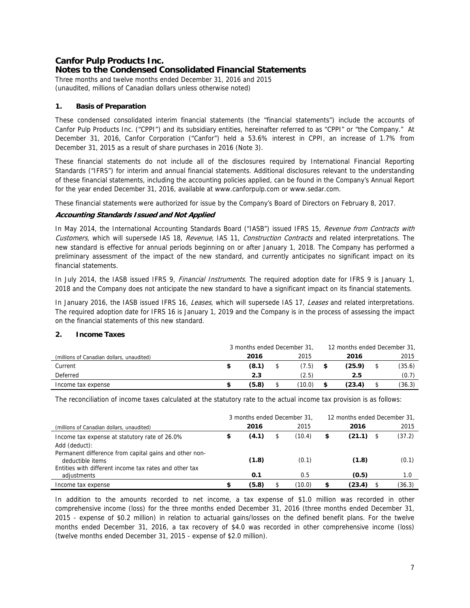## **Canfor Pulp Products Inc. Notes to the Condensed Consolidated Financial Statements**

Three months and twelve months ended December 31, 2016 and 2015 (unaudited, millions of Canadian dollars unless otherwise noted)

### **1. Basis of Preparation**

These condensed consolidated interim financial statements (the "financial statements") include the accounts of Canfor Pulp Products Inc. ("CPPI") and its subsidiary entities, hereinafter referred to as "CPPI" or "the Company." At December 31, 2016, Canfor Corporation ("Canfor") held a 53.6% interest in CPPI, an increase of 1.7% from December 31, 2015 as a result of share purchases in 2016 (Note 3).

These financial statements do not include all of the disclosures required by International Financial Reporting Standards ("IFRS") for interim and annual financial statements. Additional disclosures relevant to the understanding of these financial statements, including the accounting policies applied, can be found in the Company's Annual Report for the year ended December 31, 2016, available at www.canforpulp.com or www.sedar.com.

These financial statements were authorized for issue by the Company's Board of Directors on February 8, 2017.

### **Accounting Standards Issued and Not Applied**

In May 2014, the International Accounting Standards Board ("IASB") issued IFRS 15, Revenue from Contracts with Customers, which will supersede IAS 18, Revenue, IAS 11, Construction Contracts and related interpretations. The new standard is effective for annual periods beginning on or after January 1, 2018. The Company has performed a preliminary assessment of the impact of the new standard, and currently anticipates no significant impact on its financial statements.

In July 2014, the IASB issued IFRS 9, *Financial Instruments*. The required adoption date for IFRS 9 is January 1, 2018 and the Company does not anticipate the new standard to have a significant impact on its financial statements.

In January 2016, the IASB issued IFRS 16, Leases, which will supersede IAS 17, Leases and related interpretations. The required adoption date for IFRS 16 is January 1, 2019 and the Company is in the process of assessing the impact on the financial statements of this new standard.

### **2. Income Taxes**

|                                           | 3 months ended December 31, |        | 12 months ended December 31, |        |  |        |
|-------------------------------------------|-----------------------------|--------|------------------------------|--------|--|--------|
| (millions of Canadian dollars, unaudited) | 2016                        | 2015   |                              | 2016   |  | 2015   |
| Current                                   | (8.1)                       | (7.5)  |                              | (25.9) |  | (35.6) |
| Deferred                                  | 2.3                         | (2.5)  |                              | 2.5    |  | (0.7)  |
| Income tax expense                        | (5.8)                       | (10.0) |                              | (23.4) |  | (36.3) |

The reconciliation of income taxes calculated at the statutory rate to the actual income tax provision is as follows:

|                                                                            | 3 months ended December 31, |              |              | 12 months ended December 31, |  |
|----------------------------------------------------------------------------|-----------------------------|--------------|--------------|------------------------------|--|
| (millions of Canadian dollars, unaudited)                                  | 2016                        | 2015         | 2016         | 2015                         |  |
| Income tax expense at statutory rate of 26.0%                              | \$<br>(4.1)                 | \$<br>(10.4) | \$<br>(21.1) | (37.2)                       |  |
| Add (deduct):                                                              |                             |              |              |                              |  |
| Permanent difference from capital gains and other non-<br>deductible items | (1.8)                       | (0.1)        | (1.8)        | (0.1)                        |  |
| Entities with different income tax rates and other tax<br>adiustments      | 0.1                         | 0.5          | (0.5)        | 1.0                          |  |
| Income tax expense                                                         | \$<br>(5.8)                 | (10.0)       | \$<br>(23.4) | (36.3)                       |  |

In addition to the amounts recorded to net income, a tax expense of \$1.0 million was recorded in other comprehensive income (loss) for the three months ended December 31, 2016 (three months ended December 31, 2015 - expense of \$0.2 million) in relation to actuarial gains/losses on the defined benefit plans. For the twelve months ended December 31, 2016, a tax recovery of \$4.0 was recorded in other comprehensive income (loss) (twelve months ended December 31, 2015 - expense of \$2.0 million).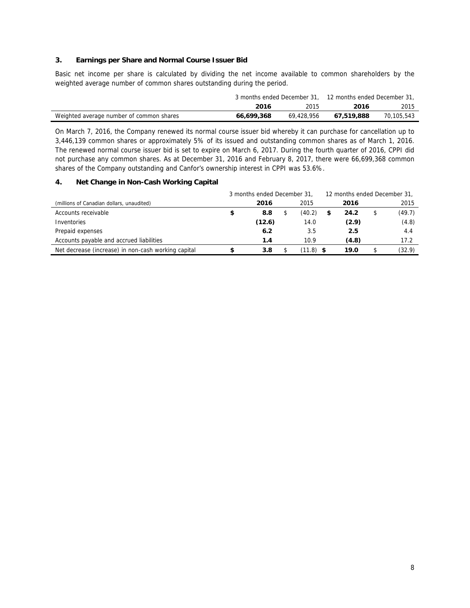### **3. Earnings per Share and Normal Course Issuer Bid**

Basic net income per share is calculated by dividing the net income available to common shareholders by the weighted average number of common shares outstanding during the period.

|                                          |            |            | 3 months ended December 31, 12 months ended December 31, |            |
|------------------------------------------|------------|------------|----------------------------------------------------------|------------|
|                                          | 2016       | 2015       | 2016                                                     | 2015       |
| Weighted average number of common shares | 66.699.368 | 69.428.956 | 67.519.888                                               | 70,105,543 |

On March 7, 2016, the Company renewed its normal course issuer bid whereby it can purchase for cancellation up to 3,446,139 common shares or approximately 5% of its issued and outstanding common shares as of March 1, 2016. The renewed normal course issuer bid is set to expire on March 6, 2017. During the fourth quarter of 2016, CPPI did not purchase any common shares. As at December 31, 2016 and February 8, 2017, there were 66,699,368 common shares of the Company outstanding and Canfor's ownership interest in CPPI was 53.6%.

### **4. Net Change in Non-Cash Working Capital**

|                                                     | 3 months ended December 31. |             | 12 months ended December 31. |    |        |
|-----------------------------------------------------|-----------------------------|-------------|------------------------------|----|--------|
| (millions of Canadian dollars, unaudited)           | 2016                        | 2015        | 2016                         |    | 2015   |
| Accounts receivable                                 | 8.8                         | (40.2)      | 24.2                         | \$ | (49.7) |
| Inventories                                         | (12.6)                      | 14.0        | (2.9)                        |    | (4.8)  |
| Prepaid expenses                                    | 6.2                         | 3.5         | 2.5                          |    | 4.4    |
| Accounts payable and accrued liabilities            | 1.4                         | 10.9        | (4.8)                        |    | 17.2   |
| Net decrease (increase) in non-cash working capital | 3.8                         | $(11.8)$ \$ | 19.0                         |    | (32.9) |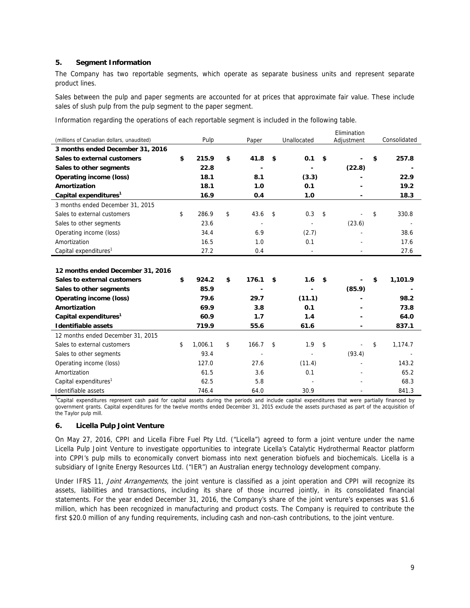### **5. Segment Information**

The Company has two reportable segments, which operate as separate business units and represent separate product lines.

Sales between the pulp and paper segments are accounted for at prices that approximate fair value. These include sales of slush pulp from the pulp segment to the paper segment.

Information regarding the operations of each reportable segment is included in the following table.

|                                           |               |                          |                          | Elimination |               |
|-------------------------------------------|---------------|--------------------------|--------------------------|-------------|---------------|
| (millions of Canadian dollars, unaudited) | Pulp          | Paper                    | Unallocated              | Adjustment  | Consolidated  |
| 3 months ended December 31, 2016          |               |                          |                          |             |               |
| Sales to external customers               | \$<br>215.9   | \$<br>41.8               | \$<br>0.1                | \$          | \$<br>257.8   |
| Sales to other segments                   | 22.8          | $\blacksquare$           | $\blacksquare$           | (22.8)      |               |
| Operating income (loss)                   | 18.1          | 8.1                      | (3.3)                    |             | 22.9          |
| Amortization                              | 18.1          | 1.0                      | 0.1                      |             | 19.2          |
| Capital expenditures <sup>1</sup>         | 16.9          | 0.4                      | 1.0                      |             | 18.3          |
| 3 months ended December 31, 2015          |               |                          |                          |             |               |
| Sales to external customers               | \$<br>286.9   | \$<br>43.6               | \$<br>0.3                | \$          | \$<br>330.8   |
| Sales to other segments                   | 23.6          | $\overline{\phantom{a}}$ | $\overline{\phantom{a}}$ | (23.6)      |               |
| Operating income (loss)                   | 34.4          | 6.9                      | (2.7)                    |             | 38.6          |
| Amortization                              | 16.5          | 1.0                      | 0.1                      |             | 17.6          |
| Capital expenditures <sup>1</sup>         | 27.2          | 0.4                      | $\overline{\phantom{a}}$ |             | 27.6          |
|                                           |               |                          |                          |             |               |
| 12 months ended December 31, 2016         |               |                          |                          |             |               |
| Sales to external customers               | \$<br>924.2   | \$<br>176.1              | \$<br>1.6                | \$          | \$<br>1,101.9 |
| Sales to other segments                   | 85.9          |                          |                          | (85.9)      |               |
| Operating income (loss)                   | 79.6          | 29.7                     | (11.1)                   |             | 98.2          |
| Amortization                              | 69.9          | 3.8                      | 0.1                      |             | 73.8          |
| Capital expenditures <sup>1</sup>         | 60.9          | 1.7                      | 1.4                      |             | 64.0          |
| Identifiable assets                       | 719.9         | 55.6                     | 61.6                     |             | 837.1         |
| 12 months ended December 31, 2015         |               |                          |                          |             |               |
| Sales to external customers               | \$<br>1,006.1 | \$<br>166.7              | \$<br>1.9                | \$          | \$<br>1,174.7 |
| Sales to other segments                   | 93.4          |                          |                          | (93.4)      |               |
| Operating income (loss)                   | 127.0         | 27.6                     | (11.4)                   |             | 143.2         |
| Amortization                              | 61.5          | 3.6                      | 0.1                      |             | 65.2          |
| Capital expenditures <sup>1</sup>         | 62.5          | 5.8                      |                          |             | 68.3          |
| Identifiable assets                       | 746.4         | 64.0                     | 30.9                     |             | 841.3         |

<sup>1</sup>Capital expenditures represent cash paid for capital assets during the periods and include capital expenditures that were partially financed by government grants. Capital expenditures for the twelve months ended December 31, 2015 exclude the assets purchased as part of the acquisition of the Taylor pulp mill.

#### **6. Licella Pulp Joint Venture**

On May 27, 2016, CPPI and Licella Fibre Fuel Pty Ltd. ("Licella") agreed to form a joint venture under the name Licella Pulp Joint Venture to investigate opportunities to integrate Licella's Catalytic Hydrothermal Reactor platform into CPPI's pulp mills to economically convert biomass into next generation biofuels and biochemicals. Licella is a subsidiary of Ignite Energy Resources Ltd. ("IER") an Australian energy technology development company.

Under IFRS 11, Joint Arrangements, the joint venture is classified as a joint operation and CPPI will recognize its assets, liabilities and transactions, including its share of those incurred jointly, in its consolidated financial statements. For the year ended December 31, 2016, the Company's share of the joint venture's expenses was \$1.6 million, which has been recognized in manufacturing and product costs. The Company is required to contribute the first \$20.0 million of any funding requirements, including cash and non-cash contributions, to the joint venture.